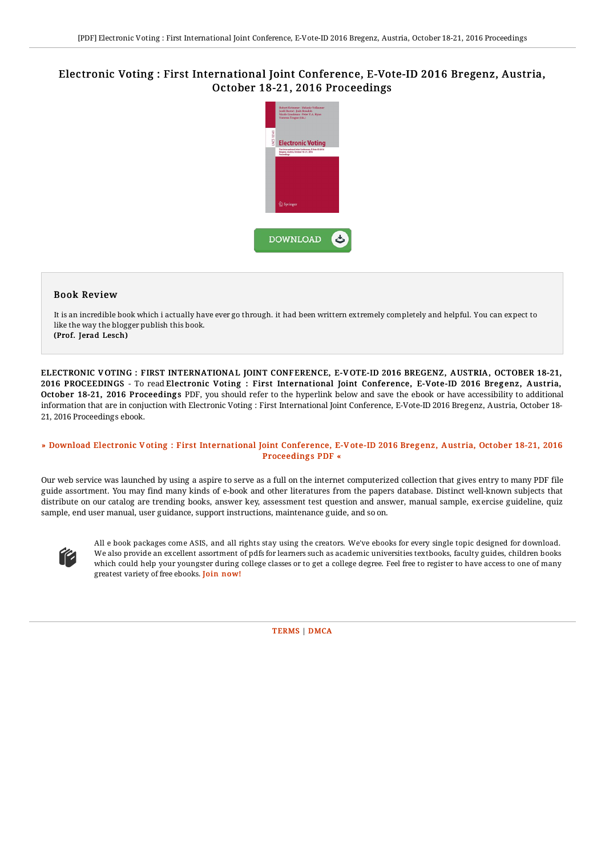# Electronic Voting : First International Joint Conference, E-Vote-ID 2016 Bregenz, Austria, October 18-21, 2016 Proceedings



### Book Review

It is an incredible book which i actually have ever go through. it had been writtern extremely completely and helpful. You can expect to like the way the blogger publish this book. (Prof. Jerad Lesch)

ELECTRONIC V OTING : FIRST INTERNATIONAL JOINT CONFERENCE, E-V OTE-ID 2016 BREGENZ, A USTRIA, OCTOBER 18-21, 2016 PROCEEDINGS - To read Electronic Voting : First International Joint Conference, E-Vote-ID 2016 Bregenz, Austria, October 18-21, 2016 Proceedings PDF, you should refer to the hyperlink below and save the ebook or have accessibility to additional information that are in conjuction with Electronic Voting : First International Joint Conference, E-Vote-ID 2016 Bregenz, Austria, October 18- 21, 2016 Proceedings ebook.

#### » Download Electronic Voting : First [International](http://techno-pub.tech/electronic-voting-first-international-joint-conf.html) Joint Conference, E-Vote-ID 2016 Bregenz, Austria, October 18-21, 2016 Proceedings PDF «

Our web service was launched by using a aspire to serve as a full on the internet computerized collection that gives entry to many PDF file guide assortment. You may find many kinds of e-book and other literatures from the papers database. Distinct well-known subjects that distribute on our catalog are trending books, answer key, assessment test question and answer, manual sample, exercise guideline, quiz sample, end user manual, user guidance, support instructions, maintenance guide, and so on.



All e book packages come ASIS, and all rights stay using the creators. We've ebooks for every single topic designed for download. We also provide an excellent assortment of pdfs for learners such as academic universities textbooks, faculty guides, children books which could help your youngster during college classes or to get a college degree. Feel free to register to have access to one of many greatest variety of free ebooks. **Join [now!](http://techno-pub.tech/electronic-voting-first-international-joint-conf.html)**